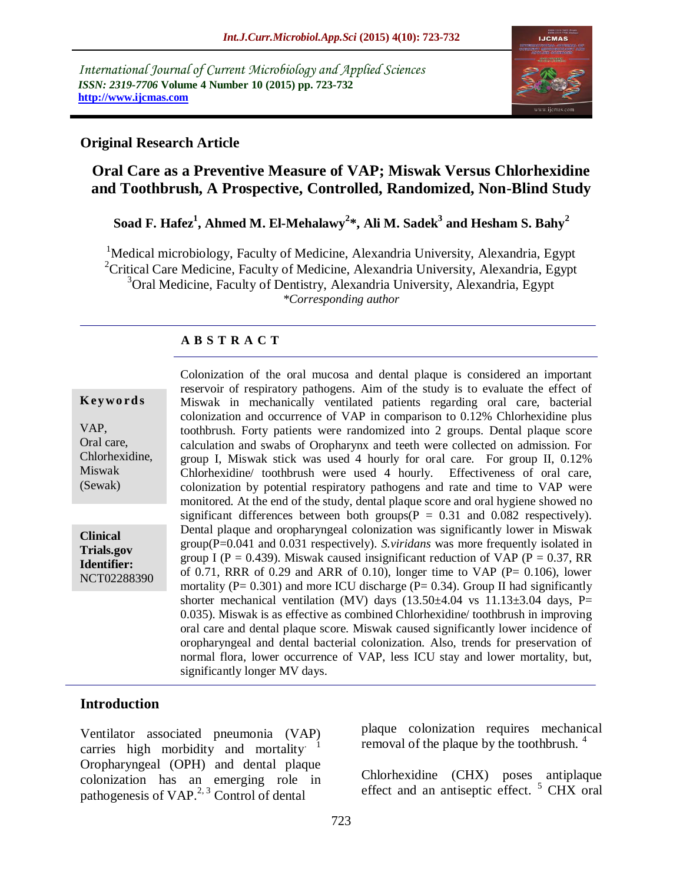*International Journal of Current Microbiology and Applied Sciences ISSN: 2319-7706* **Volume 4 Number 10 (2015) pp. 723-732 http://www.ijcmas.com** 



#### **Original Research Article**

# **Oral Care as a Preventive Measure of VAP; Miswak Versus Chlorhexidine and Toothbrush, A Prospective, Controlled, Randomized, Non-Blind Study**

# **Soad F. Hafez<sup>1</sup> , Ahmed M. El-Mehalawy<sup>2</sup> \*, Ali M. Sadek<sup>3</sup> and Hesham S. Bahy<sup>2</sup>**

<sup>1</sup>Medical microbiology, Faculty of Medicine, Alexandria University, Alexandria, Egypt <sup>2</sup>Critical Care Medicine, Faculty of Medicine, Alexandria University, Alexandria, Egypt <sup>3</sup>Oral Medicine, Faculty of Dentistry, Alexandria University, Alexandria, Egypt *\*Corresponding author*

## **A B S T R A C T**

#### **K ey w o rd s**

VAP, Oral care, Chlorhexidine, Miswak (Sewak)

**Clinical Trials.gov Identifier:** NCT02288390 Colonization of the oral mucosa and dental plaque is considered an important reservoir of respiratory pathogens. Aim of the study is to evaluate the effect of Miswak in mechanically ventilated patients regarding oral care, bacterial colonization and occurrence of VAP in comparison to 0.12% Chlorhexidine plus toothbrush. Forty patients were randomized into 2 groups. Dental plaque score calculation and swabs of Oropharynx and teeth were collected on admission. For group I, Miswak stick was used 4 hourly for oral care. For group II, 0.12% Chlorhexidine/ toothbrush were used 4 hourly. Effectiveness of oral care, colonization by potential respiratory pathogens and rate and time to VAP were monitored. At the end of the study, dental plaque score and oral hygiene showed no significant differences between both groups( $P = 0.31$  and 0.082 respectively). Dental plaque and oropharyngeal colonization was significantly lower in Miswak group(P=0.041 and 0.031 respectively). *S.viridans* was more frequently isolated in group I ( $P = 0.439$ ). Miswak caused insignificant reduction of VAP ( $P = 0.37$ , RR of 0.71, RRR of 0.29 and ARR of 0.10), longer time to VAP ( $P = 0.106$ ), lower mortality ( $P = 0.301$ ) and more ICU discharge ( $P = 0.34$ ). Group II had significantly shorter mechanical ventilation (MV) days  $(13.50\pm4.04 \text{ vs } 11.13\pm3.04 \text{ days}, P=$ 0.035). Miswak is as effective as combined Chlorhexidine/ toothbrush in improving oral care and dental plaque score. Miswak caused significantly lower incidence of oropharyngeal and dental bacterial colonization. Also, trends for preservation of normal flora, lower occurrence of VAP, less ICU stay and lower mortality, but, significantly longer MV days.

## **Introduction**

Ventilator associated pneumonia (VAP) carries high morbidity and mortality Oropharyngeal (OPH) and dental plaque colonization has an emerging role in pathogenesis of VAP.<sup>2, 3</sup> Control of dental

plaque colonization requires mechanical removal of the plaque by the toothbrush.  $4$ 

Chlorhexidine (CHX) poses antiplaque effect and an antiseptic effect.<sup>5</sup> CHX oral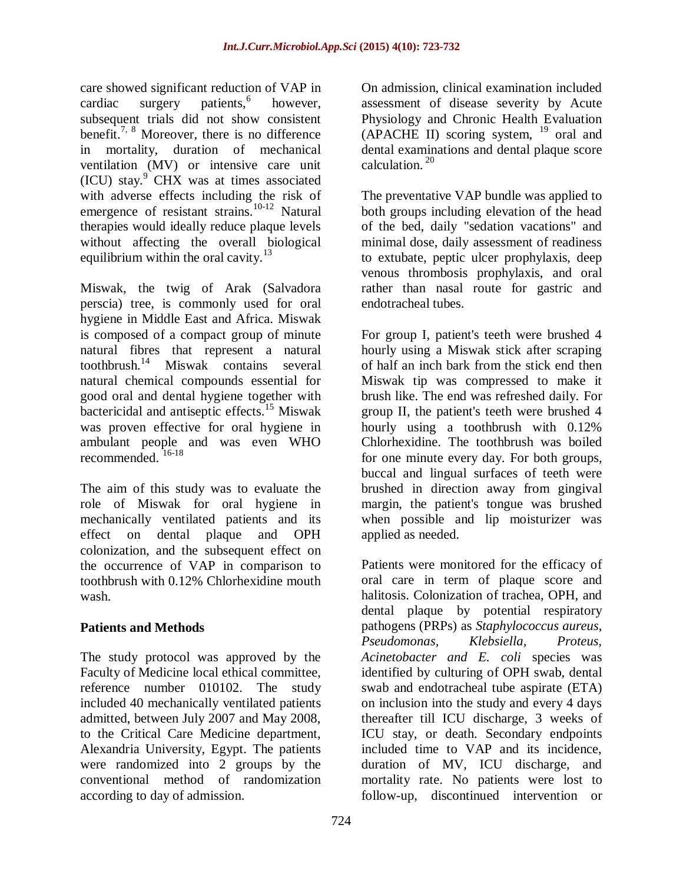care showed significant reduction of VAP in cardiac surgery patients,<sup>6</sup> however, subsequent trials did not show consistent benefit.<sup>7, 8</sup> Moreover, there is no difference in mortality, duration of mechanical ventilation (MV) or intensive care unit  $(ICU)$  stay. $9$  CHX was at times associated with adverse effects including the risk of emergence of resistant strains.<sup>10-12</sup> Natural therapies would ideally reduce plaque levels without affecting the overall biological equilibrium within the oral cavity. $13$ 

Miswak, the twig of Arak (Salvadora perscia) tree, is commonly used for oral hygiene in Middle East and Africa. Miswak is composed of a compact group of minute natural fibres that represent a natural toothbrush.<sup>14</sup> Miswak contains several natural chemical compounds essential for good oral and dental hygiene together with bactericidal and antiseptic effects.<sup>15</sup> Miswak was proven effective for oral hygiene in ambulant people and was even WHO recommended. 16-18

The aim of this study was to evaluate the role of Miswak for oral hygiene in mechanically ventilated patients and its effect on dental plaque and OPH colonization, and the subsequent effect on the occurrence of VAP in comparison to toothbrush with 0.12% Chlorhexidine mouth wash.

## **Patients and Methods**

The study protocol was approved by the Faculty of Medicine local ethical committee, reference number 010102. The study included 40 mechanically ventilated patients admitted, between July 2007 and May 2008, to the Critical Care Medicine department, Alexandria University, Egypt. The patients were randomized into 2 groups by the conventional method of randomization according to day of admission.

On admission, clinical examination included assessment of disease severity by Acute Physiology and Chronic Health Evaluation  $(APACHE II)$  scoring system, <sup>19</sup> oral and dental examinations and dental plaque score calculation.<sup>20</sup>

The preventative VAP bundle was applied to both groups including elevation of the head of the bed, daily "sedation vacations" and minimal dose, daily assessment of readiness to extubate, peptic ulcer prophylaxis, deep venous thrombosis prophylaxis, and oral rather than nasal route for gastric and endotracheal tubes.

For group I, patient's teeth were brushed 4 hourly using a Miswak stick after scraping of half an inch bark from the stick end then Miswak tip was compressed to make it brush like. The end was refreshed daily. For group II, the patient's teeth were brushed 4 hourly using a toothbrush with 0.12% Chlorhexidine. The toothbrush was boiled for one minute every day. For both groups, buccal and lingual surfaces of teeth were brushed in direction away from gingival margin, the patient's tongue was brushed when possible and lip moisturizer was applied as needed.

Patients were monitored for the efficacy of oral care in term of plaque score and halitosis. Colonization of trachea, OPH, and dental plaque by potential respiratory pathogens (PRPs) as *Staphylococcus aureus*, *Pseudomonas, Klebsiella, Proteus, Acinetobacter and E. coli* species was identified by culturing of OPH swab, dental swab and endotracheal tube aspirate (ETA) on inclusion into the study and every 4 days thereafter till ICU discharge, 3 weeks of ICU stay, or death. Secondary endpoints included time to VAP and its incidence, duration of MV, ICU discharge, and mortality rate. No patients were lost to follow-up, discontinued intervention or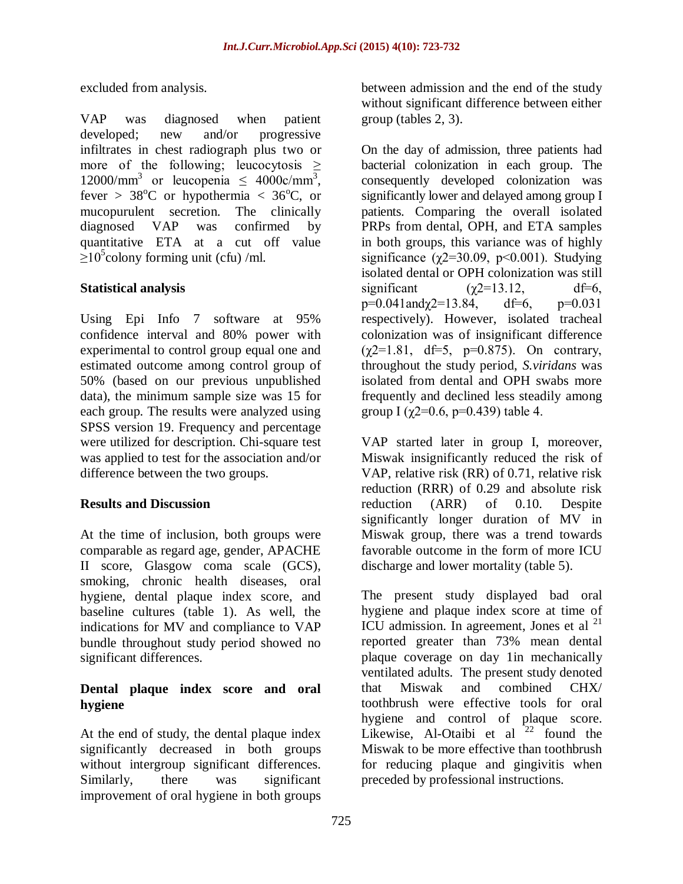excluded from analysis.

VAP was diagnosed when patient developed; new and/or progressive infiltrates in chest radiograph plus two or more of the following; leucocytosis  $\geq$ 12000/mm<sup>3</sup> or leucopenia  $\leq 4000c/mm^3$ , fever >  $38^{\circ}$ C or hypothermia <  $36^{\circ}$ C, or mucopurulent secretion. The clinically diagnosed VAP was confirmed by quantitative ETA at a cut off value  $\geq$ 10<sup>5</sup>colony forming unit (cfu) /ml.

## **Statistical analysis**

Using Epi Info 7 software at 95% confidence interval and 80% power with experimental to control group equal one and estimated outcome among control group of 50% (based on our previous unpublished data), the minimum sample size was 15 for each group. The results were analyzed using SPSS version 19. Frequency and percentage were utilized for description. Chi-square test was applied to test for the association and/or difference between the two groups.

#### **Results and Discussion**

At the time of inclusion, both groups were comparable as regard age, gender, APACHE II score, Glasgow coma scale (GCS), smoking, chronic health diseases, oral hygiene, dental plaque index score, and baseline cultures (table 1). As well, the indications for MV and compliance to VAP bundle throughout study period showed no significant differences.

## **Dental plaque index score and oral hygiene**

At the end of study, the dental plaque index significantly decreased in both groups without intergroup significant differences. Similarly, there was significant improvement of oral hygiene in both groups

between admission and the end of the study without significant difference between either group (tables 2, 3).

On the day of admission, three patients had bacterial colonization in each group. The consequently developed colonization was significantly lower and delayed among group I patients. Comparing the overall isolated PRPs from dental, OPH, and ETA samples in both groups, this variance was of highly significance ( $\chi$ 2=30.09, p<0.001). Studying isolated dental or OPH colonization was still significant  $(\gamma 2=13.12, \text{ df}=6,$  $p=0.041$ and $\gamma$ 2=13.84, df=6, p=0.031 respectively). However, isolated tracheal colonization was of insignificant difference  $(\chi 2=1.81, df=5, p=0.875)$ . On contrary, throughout the study period, *S.viridans* was isolated from dental and OPH swabs more frequently and declined less steadily among group I ( $\gamma$ 2=0.6, p=0.439) table 4.

VAP started later in group I, moreover, Miswak insignificantly reduced the risk of VAP, relative risk (RR) of 0.71, relative risk reduction (RRR) of 0.29 and absolute risk reduction (ARR) of 0.10. Despite significantly longer duration of MV in Miswak group, there was a trend towards favorable outcome in the form of more ICU discharge and lower mortality (table 5).

The present study displayed bad oral hygiene and plaque index score at time of ICU admission. In agreement, Jones et al <sup>21</sup> reported greater than 73% mean dental plaque coverage on day 1in mechanically ventilated adults. The present study denoted that Miswak and combined CHX/ toothbrush were effective tools for oral hygiene and control of plaque score. Likewise, Al-Otaibi et al  $2^2$  found the Miswak to be more effective than toothbrush for reducing plaque and gingivitis when preceded by professional instructions.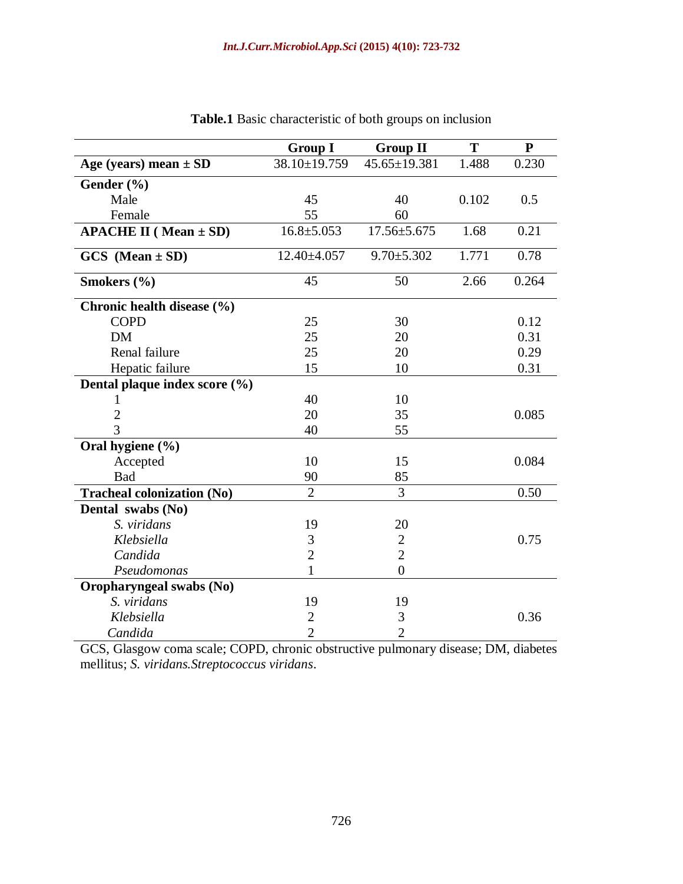|                                    | <b>Group I</b>     | <b>Group II</b>   | T     | ${\bf P}$ |
|------------------------------------|--------------------|-------------------|-------|-----------|
| Age (years) mean $\pm$ SD          | $38.10 \pm 19.759$ | 45.65±19.381      | 1.488 | 0.230     |
| Gender $(\% )$                     |                    |                   |       |           |
| Male                               | 45                 | 40                | 0.102 | 0.5       |
| Female                             | 55                 | 60                |       |           |
| <b>APACHE II</b> ( $Mean \pm SD$ ) | $16.8 \pm 5.053$   | $17.56 \pm 5.675$ | 1.68  | 0.21      |
| $GCS$ (Mean $\pm$ SD)              | 12.40±4.057        | $9.70 \pm 5.302$  | 1.771 | 0.78      |
| Smokers (%)                        | 45                 | 50                | 2.66  | 0.264     |
| Chronic health disease (%)         |                    |                   |       |           |
| <b>COPD</b>                        | 25                 | 30                |       | 0.12      |
| <b>DM</b>                          | 25                 | 20                |       | 0.31      |
| Renal failure                      | 25                 | 20                |       | 0.29      |
| Hepatic failure                    | 15                 | 10                |       | 0.31      |
| Dental plaque index score (%)      |                    |                   |       |           |
| 1                                  | 40                 | 10                |       |           |
| $\overline{2}$                     | 20                 | 35                |       | 0.085     |
| $\overline{3}$                     | 40                 | 55                |       |           |
| Oral hygiene (%)                   |                    |                   |       |           |
| Accepted                           | 10                 | 15                |       | 0.084     |
| Bad                                | 90                 | 85                |       |           |
| <b>Tracheal colonization (No)</b>  | $\overline{2}$     | 3                 |       | 0.50      |
| Dental swabs (No)                  |                    |                   |       |           |
| S. viridans                        | 19                 | 20                |       |           |
| Klebsiella                         | 3                  | $\mathbf{2}$      |       | 0.75      |
| Candida                            | $\overline{2}$     | $\overline{2}$    |       |           |
| Pseudomonas                        | 1                  | $\overline{0}$    |       |           |
| Oropharyngeal swabs (No)           |                    |                   |       |           |
| S. viridans                        | 19                 | 19                |       |           |
| Klebsiella                         | $\overline{c}$     | 3                 |       | 0.36      |
| Candida                            | $\overline{2}$     | $\overline{2}$    |       |           |

**Table.1** Basic characteristic of both groups on inclusion

GCS, Glasgow coma scale; COPD, chronic obstructive pulmonary disease; DM, diabetes mellitus; *S. viridans.Streptococcus viridans*.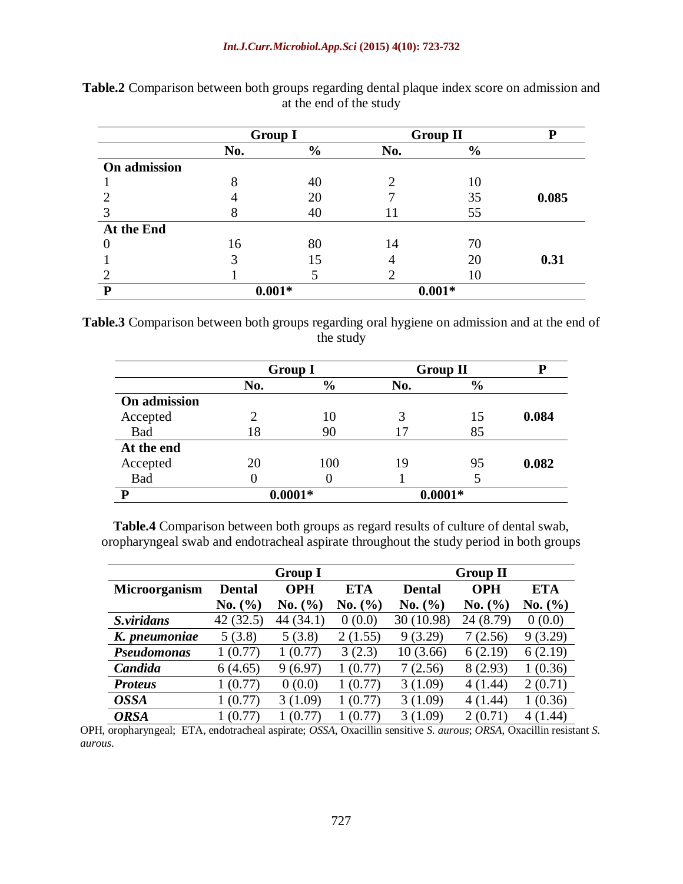|              | <b>Group I</b> |               |     | <b>Group II</b> |       |
|--------------|----------------|---------------|-----|-----------------|-------|
|              | No.            | $\frac{6}{6}$ | No. | $\frac{6}{6}$   |       |
| On admission |                |               |     |                 |       |
|              | O              | 40            | ി   | 10              |       |
|              |                | 20            |     | 35              | 0.085 |
|              |                | 40            |     | 55              |       |
| At the End   |                |               |     |                 |       |
|              | 16             | 80            | 14  | 70              |       |
|              |                | 15            | 4   | 20              | 0.31  |
|              |                |               |     | 10              |       |
| P            | $0.001*$       |               |     | $0.001*$        |       |

**Table.2** Comparison between both groups regarding dental plaque index score on admission and at the end of the study

**Table.3** Comparison between both groups regarding oral hygiene on admission and at the end of the study

|              |           | <b>Group I</b> |           | <b>Group II</b> | Р     |
|--------------|-----------|----------------|-----------|-----------------|-------|
|              | No.       | $\frac{6}{6}$  | No.       | $\frac{6}{6}$   |       |
| On admission |           |                |           |                 |       |
| Accepted     | っ         | 10             |           | 15              | 0.084 |
| <b>Bad</b>   | 18        | 90             |           | 85              |       |
| At the end   |           |                |           |                 |       |
| Accepted     | 20        | 100            | 19        | 95              | 0.082 |
| Bad          |           |                |           |                 |       |
| P            | $0.0001*$ |                | $0.0001*$ |                 |       |

**Table.4** Comparison between both groups as regard results of culture of dental swab, oropharyngeal swab and endotracheal aspirate throughout the study period in both groups

|                    | <b>Group I</b> |            |            | <b>Group II</b> |             |             |
|--------------------|----------------|------------|------------|-----------------|-------------|-------------|
| Microorganism      | <b>Dental</b>  | <b>OPH</b> | <b>ETA</b> | <b>Dental</b>   | <b>OPH</b>  | <b>ETA</b>  |
|                    | No. (%)        | No. (%)    | No. (%)    | No. (%)         | No. $(\% )$ | No. (%)     |
| S.viridans         | 42 (32.5)      | 44(34.1)   | 0(0.0)     | 30 (10.98)      | 24 (8.79)   | 0(0.0)      |
| K. pneumoniae      | 5(3.8)         | 5(3.8)     | 2(1.55)    | 9(3.29)         | 7(2.56)     | 9(3.29)     |
| <b>Pseudomonas</b> | 1(0.77)        | 1(0.77)    | 3(2.3)     | 10(3.66)        | 6(2.19)     | 6(2.19)     |
| Candida            | 6(4.65)        | 9(6.97)    | (0.77)     | 7(2.56)         | 8(2.93)     | 1(0.36)     |
| <b>Proteus</b>     | 1(0.77)        | 0(0.0)     | (0.77)     | 3(1.09)         | 4(1.44)     | 2(0.71)     |
| <b>OSSA</b>        | 1(0.77)        | 3(1.09)    | (0.77)     | 3(1.09)         | 4(1.44)     | 1(0.36)     |
| <b>ORSA</b>        | 1(0.77)        | (0.77)     | (0.77)     | 3(1.09)         | 2(0.71)     | (1.44)<br>4 |

OPH, oropharyngeal; ETA, endotracheal aspirate; *OSSA*, Oxacillin sensitive *S. aurous*; *ORSA*, Oxacillin resistant *S. aurous*.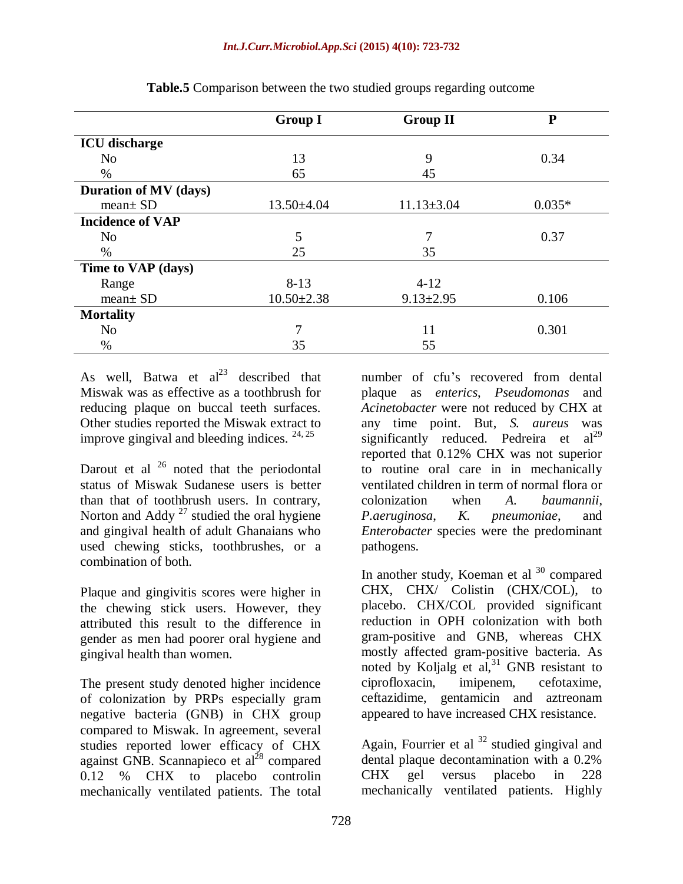|                              | <b>Group I</b>   | <b>Group II</b>  | ${\bf P}$ |
|------------------------------|------------------|------------------|-----------|
| <b>ICU</b> discharge         |                  |                  |           |
| N <sub>0</sub>               | 13               | 9                | 0.34      |
| $\%$                         | 65               | 45               |           |
| <b>Duration of MV (days)</b> |                  |                  |           |
| $mean \pm SD$                | $13.50 \pm 4.04$ | $11.13 \pm 3.04$ | $0.035*$  |
| <b>Incidence of VAP</b>      |                  |                  |           |
| N <sub>o</sub>               | 5                | 7                | 0.37      |
| $\%$                         | 25               | 35               |           |
| Time to VAP (days)           |                  |                  |           |
| Range                        | $8 - 13$         | $4 - 12$         |           |
| $mean \pm SD$                | $10.50 \pm 2.38$ | $9.13 \pm 2.95$  | 0.106     |
| <b>Mortality</b>             |                  |                  |           |
| N <sub>o</sub>               | 7                | 11               | 0.301     |
| $\%$                         | 35               | 55               |           |

**Table.5** Comparison between the two studied groups regarding outcome

As well, Batwa et  $al^{23}$  described that Miswak was as effective as a toothbrush for reducing plaque on buccal teeth surfaces. Other studies reported the Miswak extract to improve gingival and bleeding indices. 24, 25

Darout et al  $^{26}$  noted that the periodontal status of Miswak Sudanese users is better than that of toothbrush users. In contrary, Norton and Addy  $^{27}$  studied the oral hygiene and gingival health of adult Ghanaians who used chewing sticks, toothbrushes, or a combination of both.

Plaque and gingivitis scores were higher in the chewing stick users. However, they attributed this result to the difference in gender as men had poorer oral hygiene and gingival health than women.

The present study denoted higher incidence of colonization by PRPs especially gram negative bacteria (GNB) in CHX group compared to Miswak. In agreement, several studies reported lower efficacy of CHX against GNB. Scannapieco et al<sup>28</sup> compared 0.12 % CHX to placebo controlin mechanically ventilated patients. The total

number of cfu's recovered from dental plaque as *enterics*, *Pseudomonas* and *Acinetobacter* were not reduced by CHX at any time point. But, *S. aureus* was significantly reduced. Pedreira et  $al^{29}$ reported that 0.12% CHX was not superior to routine oral care in in mechanically ventilated children in term of normal flora or colonization when *A. baumannii*, *P.aeruginosa*, *K. pneumoniae*, and *Enterobacter* species were the predominant pathogens.

In another study, Koeman et al  $30$  compared CHX, CHX/ Colistin (CHX/COL), to placebo. CHX/COL provided significant reduction in OPH colonization with both gram-positive and GNB, whereas CHX mostly affected gram-positive bacteria. As noted by Koljalg et al,  $31$  GNB resistant to ciprofloxacin, imipenem, cefotaxime, ceftazidime, gentamicin and aztreonam appeared to have increased CHX resistance.

Again, Fourrier et al  $32$  studied gingival and dental plaque decontamination with a 0.2% CHX gel versus placebo in 228 mechanically ventilated patients. Highly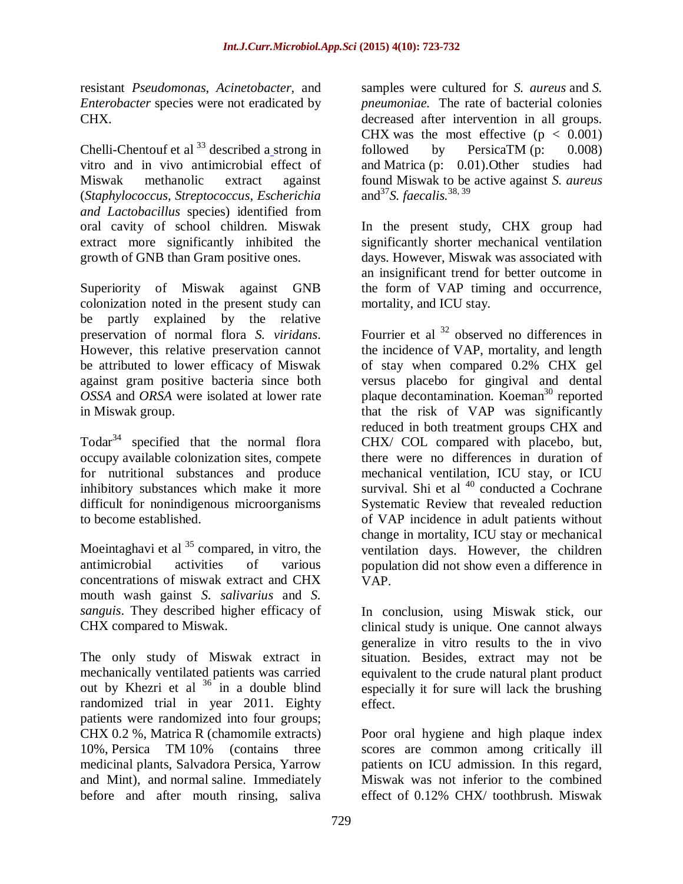resistant *Pseudomonas*, *Acinetobacter*, and *Enterobacter* species were not eradicated by CHX.

[Chelli-Chentouf](http://www.ncbi.nlm.nih.gov/pubmed?term=Chelli-Chentouf%20N%5BAuthor%5D&cauthor=true&cauthor_uid=22963838) et al  $33$  described a strong in vitro and in vivo antimicrobial effect of Miswak methanolic extract against (*Staphylococcus, Streptococcus, Escherichia and Lactobacillus* species) identified from oral cavity of school children. Miswak extract more significantly inhibited the growth of GNB than Gram positive ones.

Superiority of Miswak against GNB colonization noted in the present study can be partly explained by the relative preservation of normal flora *S. viridans*. However, this relative preservation cannot be attributed to lower efficacy of Miswak against gram positive bacteria since both *OSSA* and *ORSA* were isolated at lower rate in Miswak group.

Todar<sup>34</sup> specified that the normal flora occupy available colonization sites, compete for nutritional substances and produce inhibitory substances which make it more difficult for nonindigenous microorganisms to become established.

Moeintaghavi et al  $35$  compared, in vitro, the antimicrobial activities of various concentrations of miswak extract and CHX mouth wash gainst *S. salivarius* and *S. sanguis*. They described higher efficacy of CHX compared to Miswak.

The only study of Miswak extract in mechanically ventilated patients was carried out by Khezri et al  $36 \text{ in a double blind}$ randomized trial in year 2011. Eighty patients were randomized into four groups; CHX 0.2 %, Matrica R (chamomile extracts) 10%, Persica TM 10% (contains three medicinal plants, Salvadora Persica, Yarrow and Mint), and normal saline. Immediately before and after mouth rinsing, saliva

samples were cultured for *S. aureus* and *S. pneumoniae.* The rate of bacterial colonies decreased after intervention in all groups. CHX was the most effective  $(p < 0.001)$ followed by PersicaTM (p: 0.008) and Matrica (p: 0.01).Other studies had found Miswak to be active against *S. aureus* and<sup>37</sup>*S. faecalis.*38, 39

In the present study, CHX group had significantly shorter mechanical ventilation days. However, Miswak was associated with an insignificant trend for better outcome in the form of VAP timing and occurrence, mortality, and ICU stay.

Fourrier et al <sup>32</sup> observed no differences in the incidence of VAP, mortality, and length of stay when compared 0.2% CHX gel versus placebo for gingival and dental plaque decontamination. Koeman<sup>30</sup> reported that the risk of VAP was significantly reduced in both treatment groups CHX and CHX/ COL compared with placebo, but, there were no differences in duration of mechanical ventilation, ICU stay, or ICU survival. Shi et al  $40$  conducted a Cochrane Systematic Review that revealed reduction of VAP incidence in adult patients without change in mortality, ICU stay or mechanical ventilation days. However, the children population did not show even a difference in VAP.

In conclusion, using Miswak stick, our clinical study is unique. One cannot always generalize in vitro results to the in vivo situation. Besides, extract may not be equivalent to the crude natural plant product especially it for sure will lack the brushing effect.

Poor oral hygiene and high plaque index scores are common among critically ill patients on ICU admission. In this regard, Miswak was not inferior to the combined effect of 0.12% CHX/ toothbrush. Miswak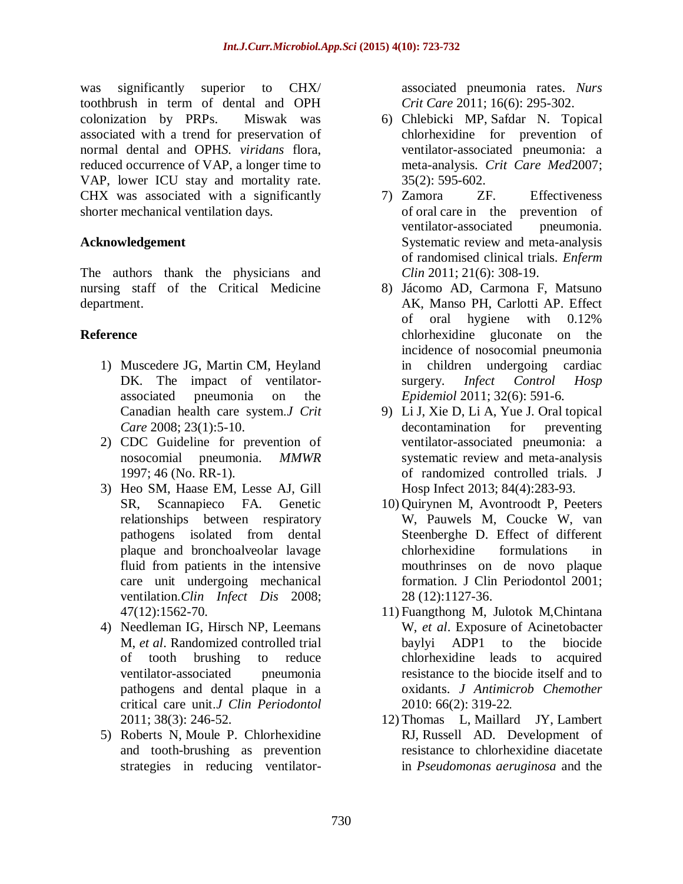was significantly superior to CHX/ toothbrush in term of dental and OPH colonization by PRPs. Miswak was associated with a trend for preservation of normal dental and OPH*S. viridans* flora, reduced occurrence of VAP, a longer time to VAP, lower ICU stay and mortality rate. CHX was associated with a significantly shorter mechanical ventilation days.

#### **Acknowledgement**

The authors thank the physicians and nursing staff of the Critical Medicine department.

#### **Reference**

- 1) Muscedere JG, Martin CM, Heyland DK. The impact of ventilatorassociated pneumonia on the Canadian health care system.*J Crit Care* 2008; 23(1):5-10.
- 2) [CDC Guideline for prevention of](http://www.cdc.gov/mmwr/preview/mmwrhtml/00045365.htm)  [nosocomial pneumonia.](http://www.cdc.gov/mmwr/preview/mmwrhtml/00045365.htm) *MMWR* 1997; 46 [\(No. RR-1\).](http://www.cdc.gov/mmwr/preview/mmwrhtml/00045365.htm)
- 3) Heo SM, Haase EM, Lesse AJ, Gill SR, Scannapieco FA. Genetic relationships between respiratory pathogens isolated from dental plaque and bronchoalveolar lavage fluid from patients in the intensive care unit undergoing mechanical ventilation.*Clin Infect Dis* 2008; 47(12):1562-70.
- 4) Needleman IG, Hirsch NP, Leemans M, *et al*. Randomized controlled trial of tooth brushing to reduce ventilator-associated pneumonia pathogens and dental plaque in a critical care unit.*J Clin Periodontol* 2011; 38(3): 246-52.
- 5) [Roberts](file:///D:\pubmed) N, [Moule](file:///D:\pubmed) P. Chlorhexidine and tooth-brushing as prevention strategies in reducing ventilator-

associated pneumonia rates. *[Nurs](file:///D:\sewakkkk\VI\Chlorhexidine%20and%20tooth-brushing%20as%20p...%20%5bNurs%20Crit%20Care.%202011%20Nov-Dec%5d%20-%20PubMed%20-%20NCBI.htm) Crit [Care](file:///D:\sewakkkk\VI\Chlorhexidine%20and%20tooth-brushing%20as%20p...%20%5bNurs%20Crit%20Care.%202011%20Nov-Dec%5d%20-%20PubMed%20-%20NCBI.htm)* 2011; 16(6): 295-302.

- 6) [Chlebicki](http://www.ncbi.nlm.nih.gov/pubmed?term=Chlebicki%20MP%5BAuthor%5D&cauthor=true&cauthor_uid=17205028) MP, [Safdar](http://www.ncbi.nlm.nih.gov/pubmed?term=Safdar%20N%5BAuthor%5D&cauthor=true&cauthor_uid=17205028) N. Topical chlorhexidine for prevention of ventilator-associated pneumonia: a meta-analysis. *Crit [Care](http://www.ncbi.nlm.nih.gov/pubmed/17205028) Med*2007; 35(2): 595-602.
- 7) [Zamora ZF.](file:///D:\pubmed) Effectiveness of oral care in the prevention of ventilator-associated pneumonia. Systematic review and meta-analysis of randomised clinical trials. *[Enferm](file:///D:\sewakkkk\VI\%5bEffectiveness%20of%20oral%20care%20in%20the%20preve...%20%5bEnferm%20Clin.%202011%20Nov-Dec%5d%20-%20PubMed%20-%20NCBI.htm) [Clin](file:///D:\sewakkkk\VI\%5bEffectiveness%20of%20oral%20care%20in%20the%20preve...%20%5bEnferm%20Clin.%202011%20Nov-Dec%5d%20-%20PubMed%20-%20NCBI.htm)* 2011; 21(6): 308-19.
- 8) Jácomo AD, Carmona F, Matsuno AK, Manso PH, Carlotti AP. Effect of oral hygiene with 0.12% chlorhexidine gluconate on the incidence of nosocomial pneumonia in children undergoing cardiac surgery. *Infect Control Hosp Epidemiol* 2011; 32(6): 591-6.
- 9) Li J, Xie D, Li A, Yue J. Oral topical decontamination for preventing ventilator-associated pneumonia: a systematic review and meta-analysis of randomized controlled trials. J Hosp Infect 2013; 84(4):283-93.
- 10) Quirynen M, Avontroodt P, Peeters W, Pauwels M, Coucke W, van Steenberghe D. Effect of different chlorhexidine formulations in mouthrinses on de novo plaque formation. J Clin Periodontol 2001; 28 (12):1127-36.
- 11) Fuangthong M, Julotok M,Chintana W, *et al*. Exposure of Acinetobacter baylyi ADP1 to the biocide chlorhexidine leads to acquired resistance to the biocide itself and to oxidants. *J Antimicrob Chemother* 2010: 66(2): 319-22.
- 12) [Thomas L,](file:///C:\pubmed) [Maillard JY,](file:///C:\pubmed) [Lambert](file:///C:\pubmed)  [RJ,](file:///C:\pubmed) [Russell AD.](file:///C:\pubmed) Development of resistance to chlorhexidine diacetate in *Pseudomonas aeruginosa* and the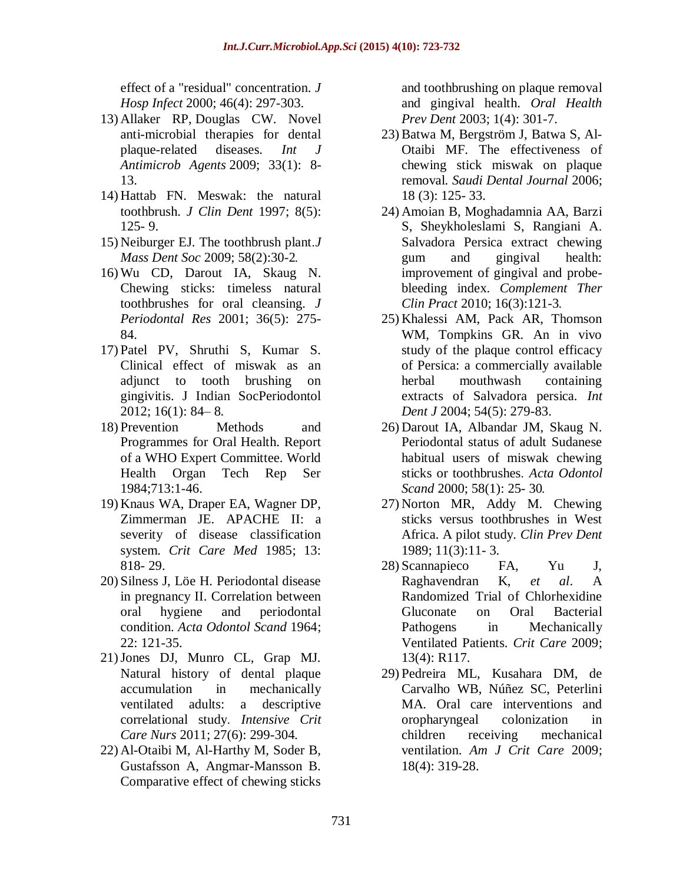effect of a "residual" concentration. *[J](file:///C:\Users\a\Desktop\RRRR\Development%20of%20resistance%20to%20chlorhexidine%20dia...%20%5bJ%20Hosp%20Infect.%202000%5d%20-%20PubMed%20-%20NCBI.htm)  [Hosp Infect](file:///C:\Users\a\Desktop\RRRR\Development%20of%20resistance%20to%20chlorhexidine%20dia...%20%5bJ%20Hosp%20Infect.%202000%5d%20-%20PubMed%20-%20NCBI.htm)* 2000; 46(4): 297-303.

- 13) [Allaker RP,](http://www.ncbi.nlm.nih.gov/pubmed?term=Allaker%20RP%5BAuthor%5D&cauthor=true&cauthor_uid=18804350) [Douglas CW.](http://www.ncbi.nlm.nih.gov/pubmed?term=Douglas%20CW%5BAuthor%5D&cauthor=true&cauthor_uid=18804350) Novel anti-microbial therapies for dental plaque-related diseases. *[Int](http://www.ncbi.nlm.nih.gov/pubmed?term=Novel%20anti-microbial%20therapies%20for%20dental%20plaque-related%20diseases.%20International%20Journal%20of%20Antimicrobial%20Agents%2033%20(2009)%208%E2%80%9313) J [Antimicrob](http://www.ncbi.nlm.nih.gov/pubmed?term=Novel%20anti-microbial%20therapies%20for%20dental%20plaque-related%20diseases.%20International%20Journal%20of%20Antimicrobial%20Agents%2033%20(2009)%208%E2%80%9313) Agents* 2009; 33(1): 8- 13.
- 14) Hattab FN. Meswak: the natural toothbrush. *J Clin Dent* 1997; 8(5): 125- 9.
- 15) Neiburger EJ. The toothbrush plant.*J Mass Dent Soc* 2009; 58(2):30-2.
- 16) Wu CD, Darout IA, Skaug N. Chewing sticks: timeless natural toothbrushes for oral cleansing. *J Periodontal Res* 2001; 36(5): 275- 84.
- 17) Patel PV, Shruthi S, Kumar S. Clinical effect of miswak as an adjunct to tooth brushing on gingivitis. J Indian SocPeriodontol 2012; 16(1): 84– 8.
- 18) Prevention Methods and Programmes for Oral Health. Report of a WHO Expert Committee. World Health Organ Tech Rep Ser 1984;713:1-46.
- 19) Knaus WA, Draper EA, Wagner DP, Zimmerman JE. APACHE II: a severity of disease classification system. *Crit Care Med* 1985; 13: 818- 29.
- 20) Silness J, Löe H. Periodontal disease in pregnancy II. Correlation between oral hygiene and periodontal condition. *Acta Odontol Scand* 1964; 22: 121-35.
- 21)Jones DJ, Munro CL, Grap MJ. Natural history of dental plaque accumulation in mechanically ventilated adults: a descriptive correlational study. *Intensive Crit Care Nurs* 2011; 27(6): 299-304.
- 22) Al-Otaibi M, Al-Harthy M, Soder B, Gustafsson A, Angmar-Mansson B. Comparative effect of chewing sticks

and toothbrushing on plaque removal and gingival health. *Oral Health Prev Dent* 2003; 1(4): 301-7.

- 23) Batwa M, Bergström J, Batwa S, Al-Otaibi MF. The effectiveness of chewing stick miswak on plaque removal. *Saudi Dental Journal* 2006; 18 (3): 125- 33.
- 24) Amoian B, Moghadamnia AA, Barzi S, Sheykholeslami S, Rangiani A. Salvadora Persica extract chewing gum and gingival health: improvement of gingival and probebleeding index. *Complement Ther Clin Pract* 2010; 16(3):121-3.
- 25) Khalessi AM, Pack AR, Thomson WM, Tompkins GR. An in vivo study of the plaque control efficacy of Persica: a commercially available herbal mouthwash containing extracts of Salvadora persica. *Int Dent J* 2004; 54(5): 279-83.
- 26) Darout IA, Albandar JM, Skaug N. Periodontal status of adult Sudanese habitual users of miswak chewing sticks or toothbrushes. *Acta Odontol Scand* 2000; 58(1): 25- 30.
- 27) Norton MR, Addy M. Chewing sticks versus toothbrushes in West Africa. A pilot study. *Clin Prev Dent* 1989; 11(3):11- 3.
- 28) Scannapieco FA, Yu J, Raghavendran K, *et al*. A Randomized Trial of Chlorhexidine Gluconate on Oral Bacterial Pathogens in Mechanically Ventilated Patients. *Crit Care* 2009; 13(4): R117.
- 29) Pedreira ML, Kusahara DM, de Carvalho WB, Núñez SC, Peterlini MA. Oral care interventions and oropharyngeal colonization in children receiving mechanical ventilation. *Am J Crit Care* 2009; 18(4): 319-28.